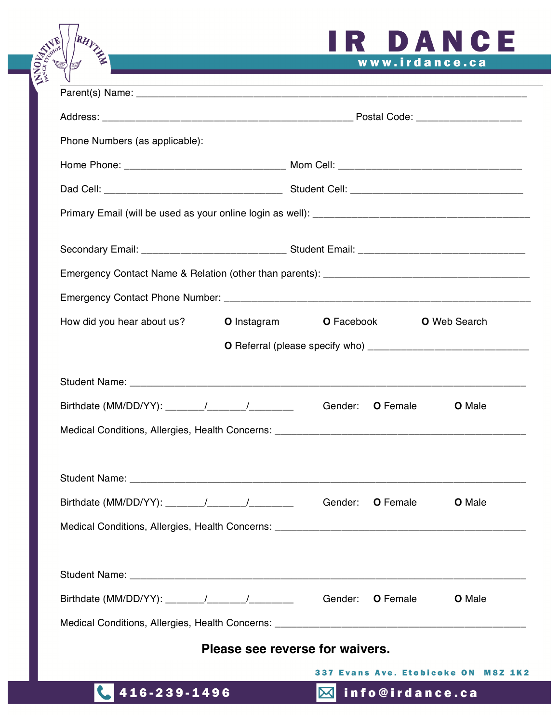# IR DANCE www.irdance.ca

| Phone Numbers (as applicable):                      |                    |    |                                          |               |  |
|-----------------------------------------------------|--------------------|----|------------------------------------------|---------------|--|
|                                                     |                    |    |                                          |               |  |
|                                                     |                    |    |                                          |               |  |
|                                                     |                    |    |                                          |               |  |
|                                                     |                    |    |                                          |               |  |
|                                                     |                    |    |                                          |               |  |
|                                                     |                    |    |                                          |               |  |
| How did you hear about us?                          | <b>O</b> Instagram |    | <b>O</b> Facebook<br><b>O</b> Web Search |               |  |
|                                                     |                    |    |                                          |               |  |
|                                                     |                    |    |                                          |               |  |
|                                                     |                    |    | Gender: <b>O</b> Female                  | <b>O</b> Male |  |
|                                                     |                    |    |                                          |               |  |
|                                                     |                    |    |                                          |               |  |
| Birthdate (MM/DD/YY): $\frac{1}{2}$ / $\frac{1}{2}$ |                    |    | Gender: <b>O</b> Female                  | <b>O</b> Male |  |
|                                                     |                    |    |                                          |               |  |
|                                                     |                    |    |                                          |               |  |
|                                                     |                    |    | Gender: <b>O</b> Female                  | <b>O</b> Male |  |
|                                                     |                    |    |                                          |               |  |
| Please see reverse for waivers.                     |                    |    |                                          |               |  |
| 337 Evans Ave. Etobicoke ON M8Z 1K2                 |                    |    |                                          |               |  |
| 416-239-1496                                        |                    | ⊠l | info@irdance.ca                          |               |  |

RHYZ -

MNOI242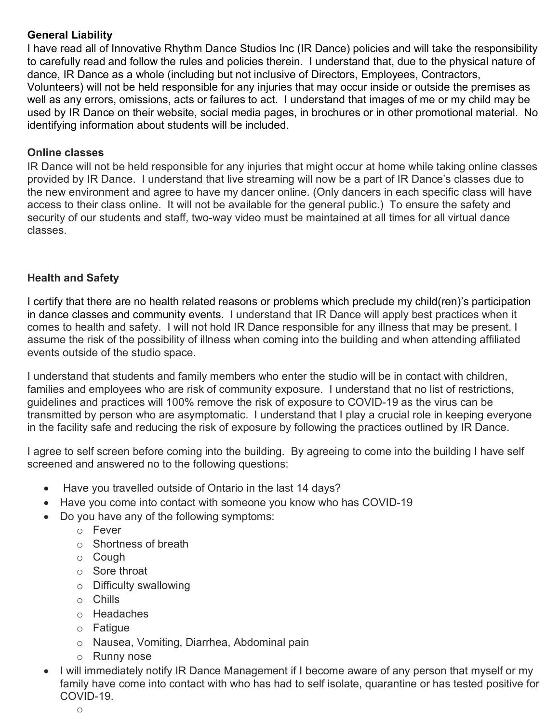# **General Liability**

I have read all of Innovative Rhythm Dance Studios Inc (IR Dance) policies and will take the responsibility to carefully read and follow the rules and policies therein. I understand that, due to the physical nature of dance, IR Dance as a whole (including but not inclusive of Directors, Employees, Contractors, Volunteers) will not be held responsible for any injuries that may occur inside or outside the premises as well as any errors, omissions, acts or failures to act. I understand that images of me or my child may be used by IR Dance on their website, social media pages, in brochures or in other promotional material. No identifying information about students will be included.

#### **Online classes**

IR Dance will not be held responsible for any injuries that might occur at home while taking online classes provided by IR Dance. I understand that live streaming will now be a part of IR Dance's classes due to the new environment and agree to have my dancer online. (Only dancers in each specific class will have access to their class online. It will not be available for the general public.) To ensure the safety and security of our students and staff, two-way video must be maintained at all times for all virtual dance classes.

# **Health and Safety**

I certify that there are no health related reasons or problems which preclude my child(ren)'s participation in dance classes and community events. I understand that IR Dance will apply best practices when it comes to health and safety. I will not hold IR Dance responsible for any illness that may be present. I assume the risk of the possibility of illness when coming into the building and when attending affiliated events outside of the studio space.

I understand that students and family members who enter the studio will be in contact with children, families and employees who are risk of community exposure. I understand that no list of restrictions, guidelines and practices will 100% remove the risk of exposure to COVID-19 as the virus can be transmitted by person who are asymptomatic. I understand that I play a crucial role in keeping everyone in the facility safe and reducing the risk of exposure by following the practices outlined by IR Dance.

I agree to self screen before coming into the building. By agreeing to come into the building I have self screened and answered no to the following questions:

- Have you travelled outside of Ontario in the last 14 days?
- Have you come into contact with someone you know who has COVID-19
- Do you have any of the following symptoms:
	- o Fever
	- o Shortness of breath
	- o Cough
	- o Sore throat
	- o Difficulty swallowing
	- o Chills
	- o Headaches
	- o Fatigue
	- o Nausea, Vomiting, Diarrhea, Abdominal pain
	- o Runny nose
- I will immediately notify IR Dance Management if I become aware of any person that myself or my family have come into contact with who has had to self isolate, quarantine or has tested positive for COVID-19.
	- o